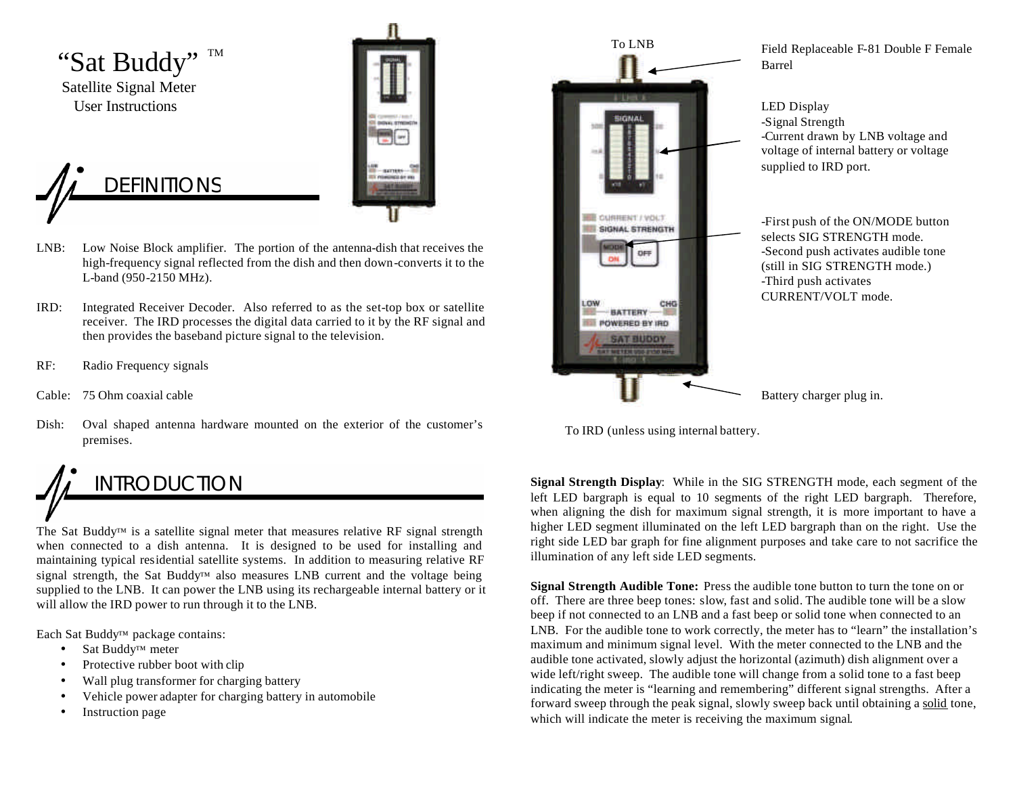

**DEFINITIONS** 



- LNB: Low Noise Block amplifier. The portion of the antenna-dish that receives the high-frequency signal reflected from the dish and then down-converts it to the L-band (950-2150 MHz).
- IRD: Integrated Receiver Decoder. Also referred to as the set-top box or satellite receiver. The IRD processes the digital data carried to it by the RF signal and then provides the baseband picture signal to the television.
- RF: Radio Frequency signals
- Cable: 75 Ohm coaxial cable
- Dish: Oval shaped antenna hardware mounted on the exterior of the customer's premises.

## INTRODUCTION

The Sat Buddy™ is a satellite signal meter that measures relative RF signal strength when connected to a dish antenna. It is designed to be used for installing and maintaining typical residential satellite systems. In addition to measuring relative RF signal strength, the Sat Buddy™ also measures LNB current and the voltage being supplied to the LNB. It can power the LNB using its rechargeable internal battery or it will allow the IRD power to run through it to the LNB.

Each Sat Buddy™ package contains:

- Sat Buddy<sup>™</sup> meter
- Protective rubber boot with clip
- Wall plug transformer for charging battery
- Vehicle power adapter for charging battery in automobile
- Instruction page



Field Replaceable F-81 Double F Female Barrel

LED Display -Signal Strength -Current drawn by LNB voltage and voltage of internal battery or voltage supplied to IRD port.

-First push of the ON/MODE button selects SIG STRENGTH mode. -Second push activates audible tone (still in SIG STRENGTH mode.) -Third push activates CURRENT/VOLT mode.

Battery charger plug in.

To IRD (unless using internal battery.

**Signal Strength Display**: While in the SIG STRENGTH mode, each segment of the left LED bargraph is equal to 10 segments of the right LED bargraph. Therefore, when aligning the dish for maximum signal strength, it is more important to have a higher LED segment illuminated on the left LED bargraph than on the right. Use the right side LED bar graph for fine alignment purposes and take care to not sacrifice the illumination of any left side LED segments.

**Signal Strength Audible Tone:** Press the audible tone button to turn the tone on or off. There are three beep tones: slow, fast and solid. The audible tone will be a slow beep if not connected to an LNB and a fast beep or solid tone when connected to an LNB. For the audible tone to work correctly, the meter has to "learn" the installation's maximum and minimum signal level. With the meter connected to the LNB and the audible tone activated, slowly adjust the horizontal (azimuth) dish alignment over a wide left/right sweep. The audible tone will change from a solid tone to a fast beep indicating the meter is "learning and remembering" different signal strengths. After a forward sweep through the peak signal, slowly sweep back until obtaining a solid tone, which will indicate the meter is receiving the maximum signal.